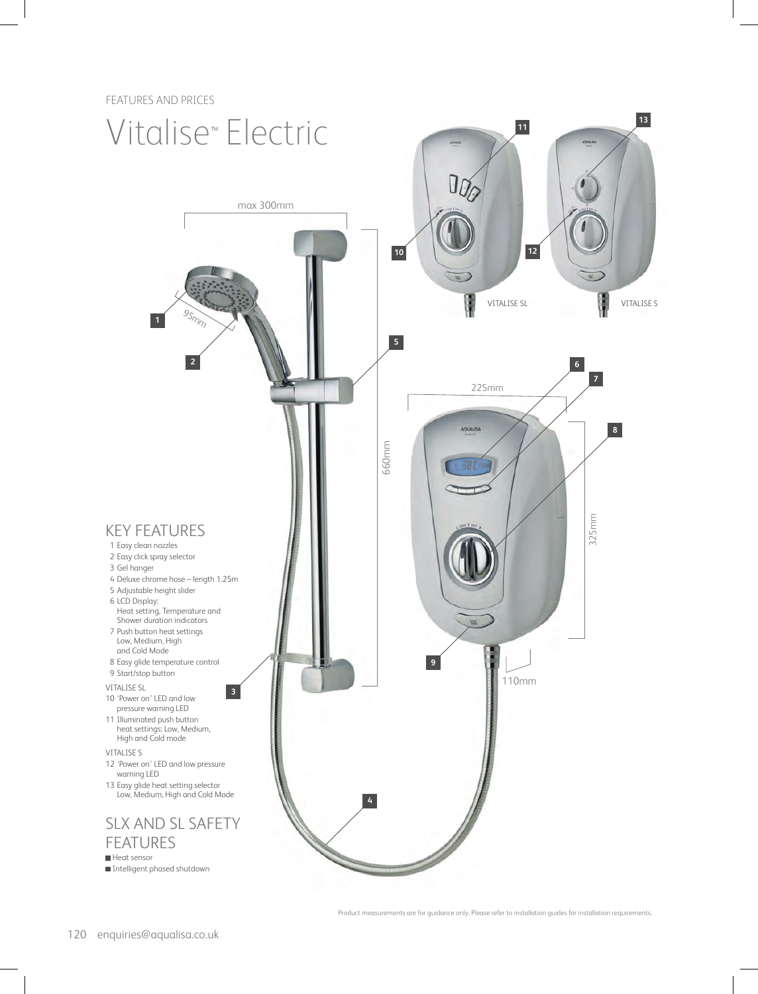FEATURES AND PRICES